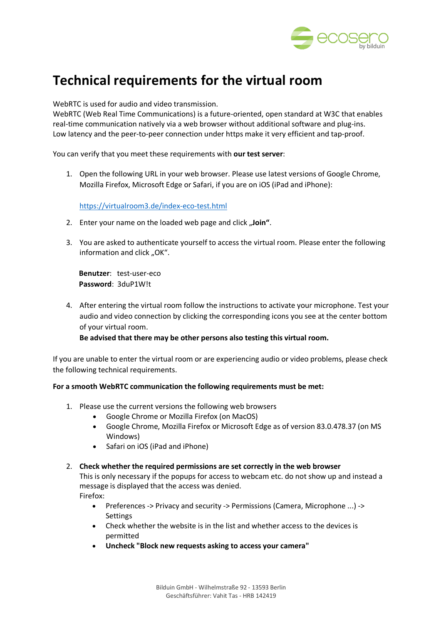

# **Technical requirements for the virtual room**

WebRTC is used for audio and video transmission.

WebRTC (Web Real Time Communications) is a future-oriented, open standard at W3C that enables real-time communication natively via a web browser without additional software and plug-ins. Low latency and the peer-to-peer connection under https make it very efficient and tap-proof.

## You can verify that you meet these requirements with **our test server**:

1. Open the following URL in your web browser. Please use latest versions of Google Chrome, Mozilla Firefox, Microsoft Edge or Safari, if you are on iOS (iPad and iPhone):

## https://virtualroom3.de/index-eco-test.html

- 2. Enter your name on the loaded web page and click "Join".
- 3. You are asked to authenticate yourself to access the virtual room. Please enter the following information and click "OK".

**Benutzer**: test-user-eco **Password**: 3duP1W!t

4. After entering the virtual room follow the instructions to activate your microphone. Test your audio and video connection by clicking the corresponding icons you see at the center bottom of your virtual room.

**Be advised that there may be other persons also testing this virtual room.**

If you are unable to enter the virtual room or are experiencing audio or video problems, please check the following technical requirements.

## **For a smooth WebRTC communication the following requirements must be met:**

- 1. Please use the current versions the following web browsers
	- Google Chrome or Mozilla Firefox (on MacOS)
	- Google Chrome, Mozilla Firefox or Microsoft Edge as of version 83.0.478.37 (on MS Windows)
	- Safari on iOS (iPad and iPhone)

## 2. **Check whether the required permissions are set correctly in the web browser**

This is only necessary if the popups for access to webcam etc. do not show up and instead a message is displayed that the access was denied. Firefox:

- Preferences -> Privacy and security -> Permissions (Camera, Microphone ...) -> **Settings**
- Check whether the website is in the list and whether access to the devices is permitted
- **Uncheck "Block new requests asking to access your camera"**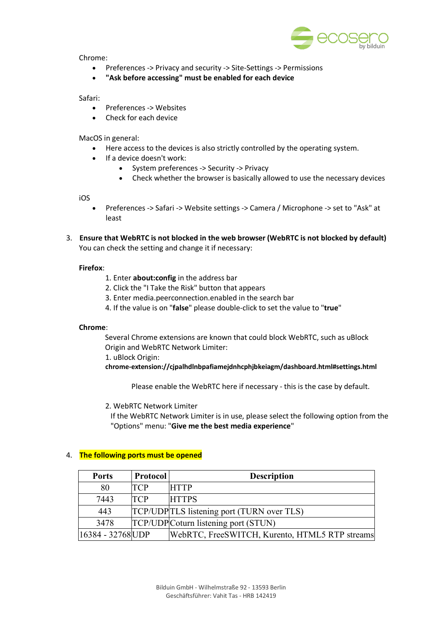

Chrome:

- Preferences -> Privacy and security -> Site-Settings -> Permissions
- **"Ask before accessing" must be enabled for each device**

Safari:

- Preferences -> Websites
- Check for each device

MacOS in general:

- Here access to the devices is also strictly controlled by the operating system.
- If a device doesn't work:
	- System preferences -> Security -> Privacy
	- Check whether the browser is basically allowed to use the necessary devices

iOS

- Preferences -> Safari -> Website settings -> Camera / Microphone -> set to "Ask" at least
- 3. **Ensure that WebRTC is not blocked in the web browser (WebRTC is not blocked by default)** You can check the setting and change it if necessary:

## **Firefox**:

- 1. Enter **about:config** in the address bar
- 2. Click the "I Take the Risk" button that appears
- 3. Enter media.peerconnection.enabled in the search bar
- 4. If the value is on "**false**" please double-click to set the value to "**true**"

## **Chrome**:

Several Chrome extensions are known that could block WebRTC, such as uBlock Origin and WebRTC Network Limiter:

1. uBlock Origin:

**chrome-extension://cjpalhdlnbpafiamejdnhcphjbkeiagm/dashboard.html#settings.html**

Please enable the WebRTC here if necessary - this is the case by default.

2. WebRTC Network Limiter

If the WebRTC Network Limiter is in use, please select the following option from the "Options" menu: "**Give me the best media experience**"

| <b>Ports</b>      | <b>Protocol</b> | <b>Description</b>                             |
|-------------------|-----------------|------------------------------------------------|
| 80                | <b>TCP</b>      | <b>HTTP</b>                                    |
| 7443              | <b>TCP</b>      | <b>HTTPS</b>                                   |
| 443               |                 | TCP/UDPTLS listening port (TURN over TLS)      |
| 3478              |                 | TCP/UDPCoturn listening port (STUN)            |
| 16384 - 32768 UDP |                 | WebRTC, FreeSWITCH, Kurento, HTML5 RTP streams |

## 4. **The following ports must be opened**